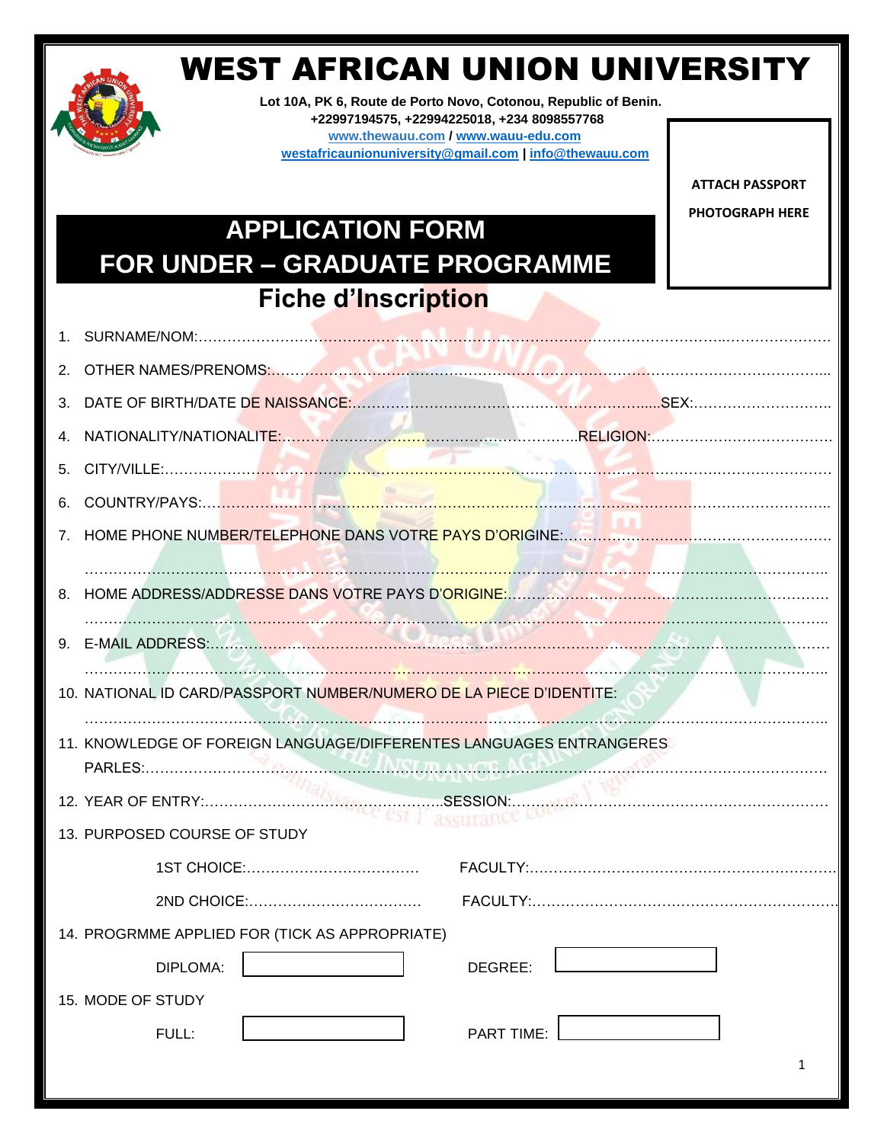

# WEST AFRICAN UNION UNIVERSITY

**Lot 10A, PK 6, Route de Porto Novo, Cotonou, Republic of Benin. +22997194575, +22994225018, +234 8098557768 www.thewauu.com / [www.wauu-edu.com](http://www.wauu-edu.com/) [westafricaunionuniversity@gmail.com](mailto:westafricaunionuniversity@gmail.com) | [info@thewauu.com](mailto:info@thewauu.com)**

> **ATTACH PASSPORT PHOTOGRAPH HERE**

# **APPLICATION FORM FOR UNDER – GRADUATE PROGRAMME Fiche d'Inscription**

| 4. |                                                                     |
|----|---------------------------------------------------------------------|
|    |                                                                     |
|    |                                                                     |
|    |                                                                     |
|    |                                                                     |
|    |                                                                     |
|    |                                                                     |
|    | 10. NATIONAL ID CARD/PASSPORT NUMBER/NUMERO DE LA PIECE D'IDENTITE: |
|    | 11. KNOWLEDGE OF FOREIGN LANGUAGE/DIFFERENTES LANGUAGES ENTRANGERES |
|    |                                                                     |
|    | 13. PURPOSED COURSE OF STUDY                                        |
|    |                                                                     |
|    |                                                                     |
|    | 14. PROGRMME APPLIED FOR (TICK AS APPROPRIATE)                      |
|    | DIPLOMA:<br>DEGREE:                                                 |
|    | 15. MODE OF STUDY                                                   |
|    | FULL:<br><b>PART TIME:</b>                                          |
|    |                                                                     |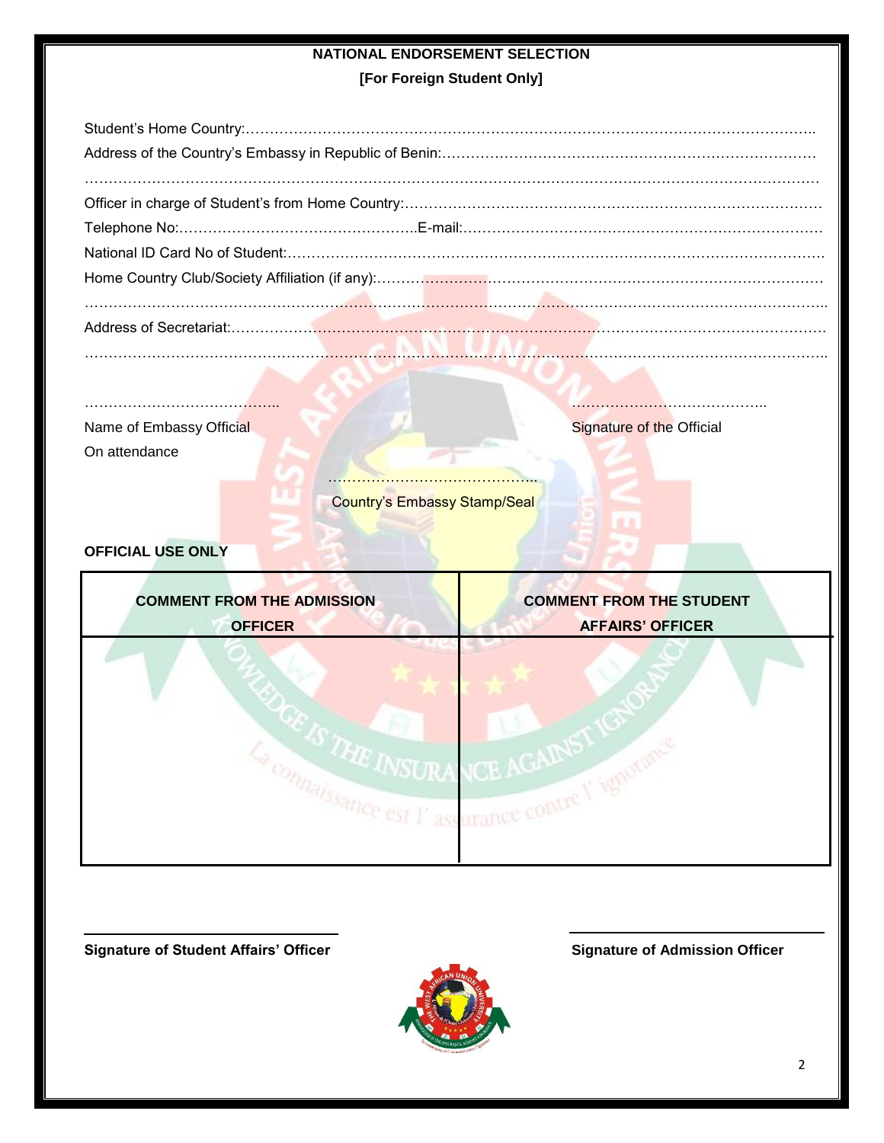# **NATIONAL ENDORSEMENT SELECTION**

**[For Foreign Student Only]**

………………………………………………………………………………………………………………………………………..

| Name of Embassy Official | <b>Signature of the Official</b>    |
|--------------------------|-------------------------------------|
| On attendance            |                                     |
|                          |                                     |
|                          | <b>Country's Embassy Stamp/Seal</b> |

# **OFFICIAL USE ONLY**



**Signature of Student Affairs' Officer Signature of Admission Officer**

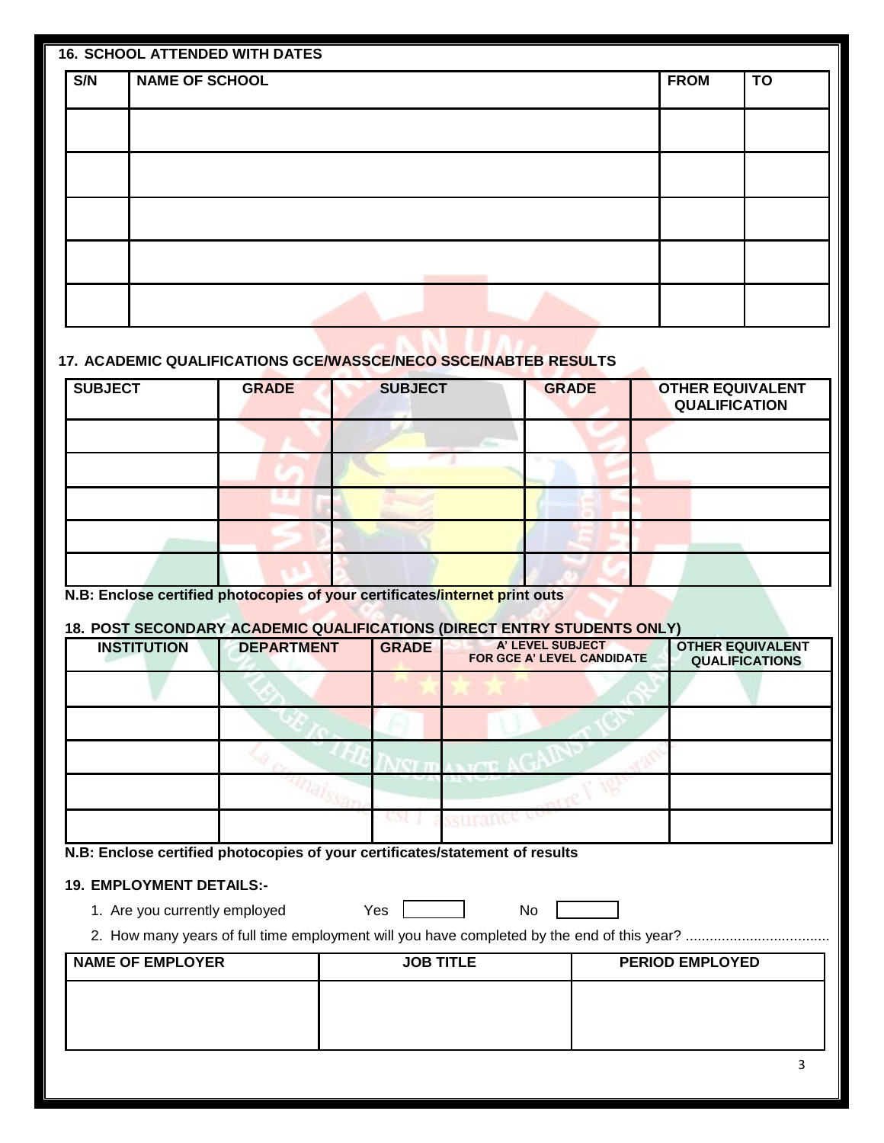|     | <b>16. SCHOOL ATTENDED WITH DATES</b> |             |           |
|-----|---------------------------------------|-------------|-----------|
| S/N | <b>NAME OF SCHOOL</b>                 | <b>FROM</b> | <b>TO</b> |
|     |                                       |             |           |
|     |                                       |             |           |
|     |                                       |             |           |
|     |                                       |             |           |
|     |                                       |             |           |
|     |                                       |             |           |
|     |                                       |             |           |
|     |                                       |             |           |
|     |                                       |             |           |

## **17. ACADEMIC QUALIFICATIONS GCE/WASSCE/NECO SSCE/NABTEB RESULTS**

| <b>SUBJECT</b> | <b>GRADE</b> | <b>SUBJECT</b> | <b>GRADE</b> | <b>OTHER EQUIVALENT</b><br><b>QUALIFICATION</b> |
|----------------|--------------|----------------|--------------|-------------------------------------------------|
|                |              |                |              |                                                 |
|                |              |                |              |                                                 |
|                |              |                |              |                                                 |
|                |              |                |              |                                                 |
|                |              |                |              |                                                 |

**N.B: Enclose certified photocopies of your certificates/internet print outs**

# **18. POST SECONDARY ACADEMIC QUALIFICATIONS (DIRECT ENTRY STUDENTS ONLY)**

| <b>INSTITUTION</b> | <b>DEPARTMENT</b> | <b>GRADE</b> | A' LEVEL SUBJECT<br>FOR GCE A' LEVEL CANDIDATE | <b>OTHER EQUIVALENT</b><br><b>QUALIFICATIONS</b> |
|--------------------|-------------------|--------------|------------------------------------------------|--------------------------------------------------|
|                    |                   |              |                                                |                                                  |
|                    |                   |              |                                                |                                                  |
|                    |                   |              |                                                |                                                  |
|                    |                   |              |                                                |                                                  |
|                    |                   |              |                                                |                                                  |

**N.B: Enclose certified photocopies of your certificates/statement of results**

### **19. EMPLOYMENT DETAILS:-**

1. Are you currently employed Yes No

2. How many years of full time employment will you have completed by the end of this year? ....................................

| <b>NAME OF EMPLOYER</b> | <b>JOB TITLE</b> | <b>PERIOD EMPLOYED</b> |
|-------------------------|------------------|------------------------|
|                         |                  |                        |
|                         |                  |                        |
|                         |                  |                        |